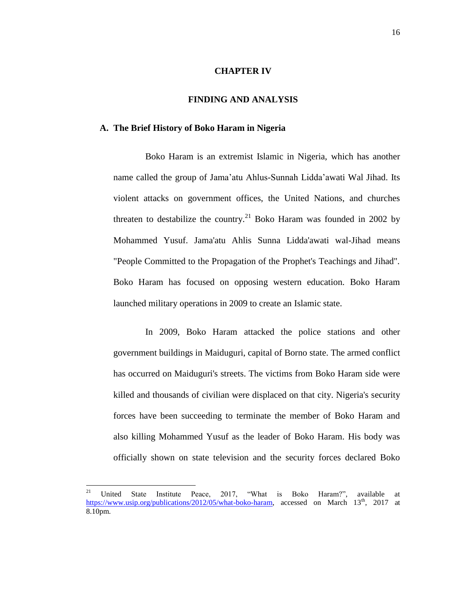### **CHAPTER IV**

### **FINDING AND ANALYSIS**

#### **A. The Brief History of Boko Haram in Nigeria**

Boko Haram is an extremist Islamic in Nigeria, which has another name called the group of Jama"atu Ahlus-Sunnah Lidda"awati Wal Jihad. Its violent attacks on government offices, the United Nations, and churches threaten to destabilize the country.<sup>21</sup> Boko Haram was founded in 2002 by Mohammed Yusuf. Jama'atu Ahlis Sunna Lidda'awati wal-Jihad means "People Committed to the Propagation of the Prophet's Teachings and Jihad". Boko Haram has focused on opposing western education. Boko Haram launched military operations in 2009 to create an Islamic state.

In 2009, Boko Haram attacked the police stations and other government buildings in Maiduguri, capital of Borno state. The armed conflict has occurred on Maiduguri's streets. The victims from Boko Haram side were killed and thousands of civilian were displaced on that city. Nigeria's security forces have been succeeding to terminate the member of Boko Haram and also killing Mohammed Yusuf as the leader of Boko Haram. His body was officially shown on state television and the security forces declared Boko

<sup>21</sup> <sup>21</sup> United State Institute Peace, 2017, "What is Boko Haram?", available at [https://www.usip.org/publications/2012/05/what-boko-haram,](https://www.usip.org/publications/2012/05/what-boko-haram) accessed on March 13<sup>th</sup>, 2017 at 8.10pm.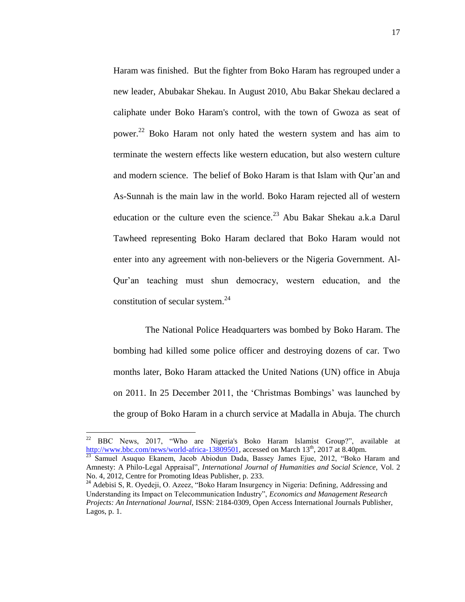Haram was finished. But the fighter from Boko Haram has regrouped under a new leader, Abubakar Shekau. In August 2010, Abu Bakar Shekau declared a caliphate under Boko Haram's control, with the town of Gwoza as seat of power.<sup>22</sup> Boko Haram not only hated the western system and has aim to terminate the western effects like western education, but also western culture and modern science. The belief of Boko Haram is that Islam with Qur"an and As-Sunnah is the main law in the world. Boko Haram rejected all of western education or the culture even the science.<sup>23</sup> Abu Bakar Shekau a.k.a Darul Tawheed representing Boko Haram declared that Boko Haram would not enter into any agreement with non-believers or the Nigeria Government. Al-Qur"an teaching must shun democracy, western education, and the constitution of secular system.<sup>24</sup>

The National Police Headquarters was bombed by Boko Haram. The bombing had killed some police officer and destroying dozens of car. Two months later, Boko Haram attacked the United Nations (UN) office in Abuja on 2011. In 25 December 2011, the "Christmas Bombings" was launched by the group of Boko Haram in a church service at Madalla in Abuja. The church

<sup>22</sup> <sup>22</sup> BBC News, 2017, "Who are Nigeria's Boko Haram Islamist Group?", available at [http://www.bbc.com/news/world-africa-13809501,](http://www.bbc.com/news/world-africa-13809501) accessed on March 13<sup>th</sup>, 2017 at 8.40pm.

<sup>&</sup>lt;sup>23</sup> Samuel Asuquo Ekanem, Jacob Abiodun Dada, Bassey James Ejue, 2012, "Boko Haram and Amnesty: A Philo-Legal Appraisal", *International Journal of Humanities and Social Science,* Vol. 2 No. 4, 2012, Centre for Promoting Ideas Publisher, p. 233.

<sup>&</sup>lt;sup>24</sup> Adebisi S, R. Oyedeji, O. Azeez, "Boko Haram Insurgency in Nigeria: Defining, Addressing and Understanding its Impact on Telecommunication Industry", *Economics and Management Research Projects: An International Journal,* ISSN: 2184-0309, Open Access International Journals Publisher, Lagos, p. 1.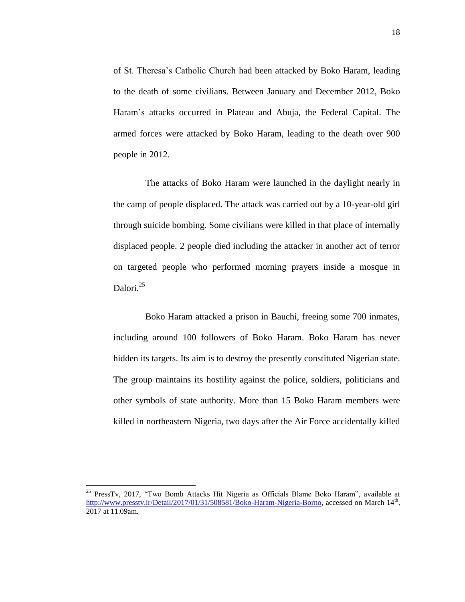of St. Theresa"s Catholic Church had been attacked by Boko Haram, leading to the death of some civilians. Between January and December 2012, Boko Haram"s attacks occurred in Plateau and Abuja, the Federal Capital. The armed forces were attacked by Boko Haram, leading to the death over 900 people in 2012.

The attacks of Boko Haram were launched in the daylight nearly in the camp of people displaced. The attack was carried out by a 10-year-old girl through suicide bombing. Some civilians were killed in that place of internally displaced people. 2 people died including the attacker in another act of terror on targeted people who performed morning prayers inside a mosque in Dalori. 25

Boko Haram attacked a prison in Bauchi, freeing some 700 inmates, including around 100 followers of Boko Haram. Boko Haram has never hidden its targets. Its aim is to destroy the presently constituted Nigerian state. The group maintains its hostility against the police, soldiers, politicians and other symbols of state authority. More than 15 Boko Haram members were killed in northeastern Nigeria, two days after the Air Force accidentally killed

 $\ddot{\phantom{a}}$ 

<sup>&</sup>lt;sup>25</sup> PressTv, 2017, "Two Bomb Attacks Hit Nigeria as Officials Blame Boko Haram", available at [http://www.presstv.ir/Detail/2017/01/31/508581/Boko-Haram-Nigeria-Borno,](http://www.presstv.ir/Detail/2017/01/31/508581/Boko-Haram-Nigeria-Borno) accessed on March 14<sup>th</sup>, 2017 at 11.09am.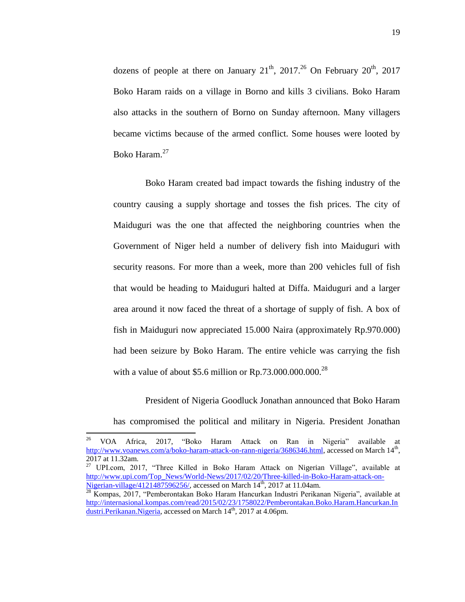dozens of people at there on January  $21^{th}$ ,  $2017^{26}$  On February  $20^{th}$ ,  $2017$ Boko Haram raids on a village in Borno and kills 3 civilians. Boko Haram also attacks in the southern of Borno on Sunday afternoon. Many villagers became victims because of the armed conflict. Some houses were looted by Boko Haram.<sup>27</sup>

Boko Haram created bad impact towards the fishing industry of the country causing a supply shortage and tosses the fish prices. The city of Maiduguri was the one that affected the neighboring countries when the Government of Niger held a number of delivery fish into Maiduguri with security reasons. For more than a week, more than 200 vehicles full of fish that would be heading to Maiduguri halted at Diffa. Maiduguri and a larger area around it now faced the threat of a shortage of supply of fish. A box of fish in Maiduguri now appreciated 15.000 Naira (approximately Rp.970.000) had been seizure by Boko Haram. The entire vehicle was carrying the fish with a value of about \$5.6 million or  $Rp.73.000.000.000.<sup>28</sup>$ 

President of Nigeria Goodluck Jonathan announced that Boko Haram has compromised the political and military in Nigeria. President Jonathan

<sup>26</sup> <sup>26</sup> VOA Africa, 2017, "Boko Haram Attack on Ran in Nigeria" available at [http://www.voanews.com/a/boko-haram-attack-on-rann-nigeria/3686346.html,](http://www.voanews.com/a/boko-haram-attack-on-rann-nigeria/3686346.html) accessed on March 14<sup>th</sup>, 2017 at 11.32am.

<sup>&</sup>lt;sup>27</sup> UPI.com, 2017, "Three Killed in Boko Haram Attack on Nigerian Village", available at [http://www.upi.com/Top\\_News/World-News/2017/02/20/Three-killed-in-Boko-Haram-attack-on-](http://www.upi.com/Top_News/World-News/2017/02/20/Three-killed-in-Boko-Haram-attack-on-Nigerian-village/4121487596256/)[Nigerian-village/4121487596256/,](http://www.upi.com/Top_News/World-News/2017/02/20/Three-killed-in-Boko-Haram-attack-on-Nigerian-village/4121487596256/) accessed on March  $14<sup>th</sup>$ , 2017 at 11.04am.

<sup>&</sup>lt;sup>28</sup> Kompas, 2017, "Pemberontakan Boko Haram Hancurkan Industri Perikanan Nigeria", available at [http://internasional.kompas.com/read/2015/02/23/1758022/Pemberontakan.Boko.Haram.Hancurkan.In](http://internasional.kompas.com/read/2015/02/23/1758022/Pemberontakan.Boko.Haram.Hancurkan.Industri.Perikanan.Nigeria) [dustri.Perikanan.Nigeria,](http://internasional.kompas.com/read/2015/02/23/1758022/Pemberontakan.Boko.Haram.Hancurkan.Industri.Perikanan.Nigeria) accessed on March 14<sup>th</sup>, 2017 at 4.06pm.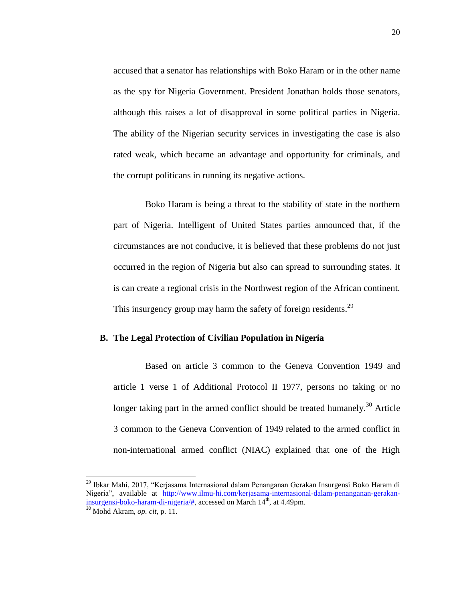accused that a senator has relationships with Boko Haram or in the other name as the spy for Nigeria Government. President Jonathan holds those senators, although this raises a lot of disapproval in some political parties in Nigeria. The ability of the Nigerian security services in investigating the case is also rated weak, which became an advantage and opportunity for criminals, and the corrupt politicans in running its negative actions.

Boko Haram is being a threat to the stability of state in the northern part of Nigeria. Intelligent of United States parties announced that, if the circumstances are not conducive, it is believed that these problems do not just occurred in the region of Nigeria but also can spread to surrounding states. It is can create a regional crisis in the Northwest region of the African continent. This insurgency group may harm the safety of foreign residents.<sup>29</sup>

### **B. The Legal Protection of Civilian Population in Nigeria**

Based on article 3 common to the Geneva Convention 1949 and article 1 verse 1 of Additional Protocol II 1977, persons no taking or no longer taking part in the armed conflict should be treated humanely.<sup>30</sup> Article 3 common to the Geneva Convention of 1949 related to the armed conflict in non-international armed conflict (NIAC) explained that one of the High

<sup>29</sup> Ibkar Mahi, 2017, "Kerjasama Internasional dalam Penanganan Gerakan Insurgensi Boko Haram di Nigeria", available at [http://www.ilmu-hi.com/kerjasama-internasional-dalam-penanganan-gerakan](http://www.ilmu-hi.com/kerjasama-internasional-dalam-penanganan-gerakan-insurgensi-boko-haram-di-nigeria/)[insurgensi-boko-haram-di-nigeria/#,](http://www.ilmu-hi.com/kerjasama-internasional-dalam-penanganan-gerakan-insurgensi-boko-haram-di-nigeria/) accessed on March 14<sup>th</sup>, at 4.49pm.

<sup>30</sup> Mohd Akram, *op. cit,* p. 11.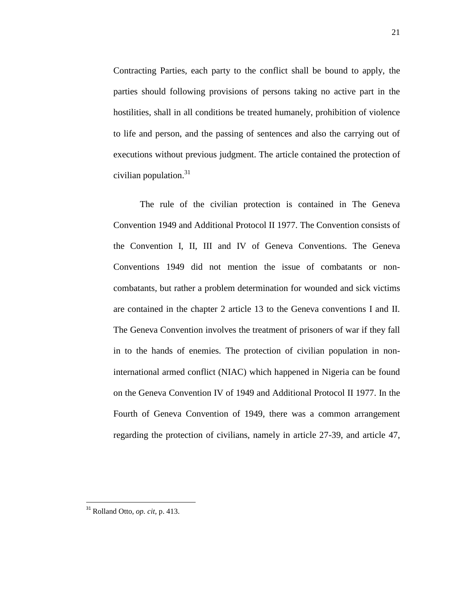Contracting Parties, each party to the conflict shall be bound to apply, the parties should following provisions of persons taking no active part in the hostilities, shall in all conditions be treated humanely, prohibition of violence to life and person, and the passing of sentences and also the carrying out of executions without previous judgment. The article contained the protection of civilian population. $31$ 

The rule of the civilian protection is contained in The Geneva Convention 1949 and Additional Protocol II 1977. The Convention consists of the Convention I, II, III and IV of Geneva Conventions. The Geneva Conventions 1949 did not mention the issue of combatants or noncombatants, but rather a problem determination for wounded and sick victims are contained in the chapter 2 article 13 to the Geneva conventions I and II. The Geneva Convention involves the treatment of prisoners of war if they fall in to the hands of enemies. The protection of civilian population in noninternational armed conflict (NIAC) which happened in Nigeria can be found on the Geneva Convention IV of 1949 and Additional Protocol II 1977. In the Fourth of Geneva Convention of 1949, there was a common arrangement regarding the protection of civilians, namely in article 27-39, and article 47,

<sup>31</sup> Rolland Otto, *op. cit,* p. 413.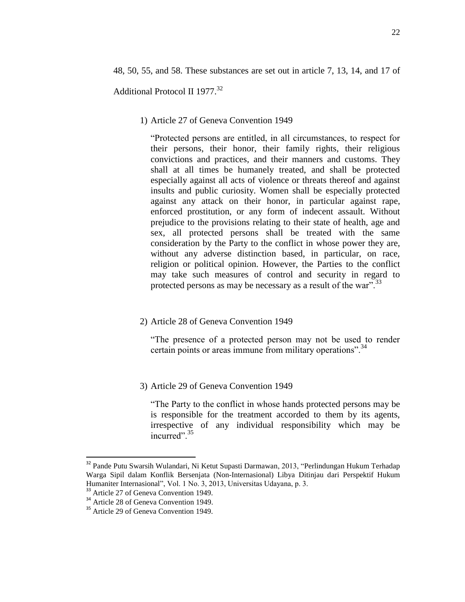Additional Protocol II 1977.<sup>32</sup>

1) Article 27 of Geneva Convention 1949

"Protected persons are entitled, in all circumstances, to respect for their persons, their honor, their family rights, their religious convictions and practices, and their manners and customs. They shall at all times be humanely treated, and shall be protected especially against all acts of violence or threats thereof and against insults and public curiosity. Women shall be especially protected against any attack on their honor, in particular against rape, enforced prostitution, or any form of indecent assault. Without prejudice to the provisions relating to their state of health, age and sex, all protected persons shall be treated with the same consideration by the Party to the conflict in whose power they are, without any adverse distinction based, in particular, on race, religion or political opinion. However, the Parties to the conflict may take such measures of control and security in regard to protected persons as may be necessary as a result of the war".<sup>33</sup>

2) Article 28 of Geneva Convention 1949

"The presence of a protected person may not be used to render certain points or areas immune from military operations".<sup>34</sup>

3) Article 29 of Geneva Convention 1949

"The Party to the conflict in whose hands protected persons may be is responsible for the treatment accorded to them by its agents, irrespective of any individual responsibility which may be incurred".<sup>35</sup>

<sup>&</sup>lt;sup>32</sup> Pande Putu Swarsih Wulandari, Ni Ketut Supasti Darmawan, 2013, "Perlindungan Hukum Terhadap Warga Sipil dalam Konflik Bersenjata (Non-Internasional) Libya Ditinjau dari Perspektif Hukum Humaniter Internasional", Vol. 1 No. 3, 2013, Universitas Udayana, p. 3.

<sup>&</sup>lt;sup>33</sup> Article 27 of Geneva Convention 1949.

<sup>&</sup>lt;sup>34</sup> Article 28 of Geneva Convention 1949.

<sup>&</sup>lt;sup>35</sup> Article 29 of Geneva Convention 1949.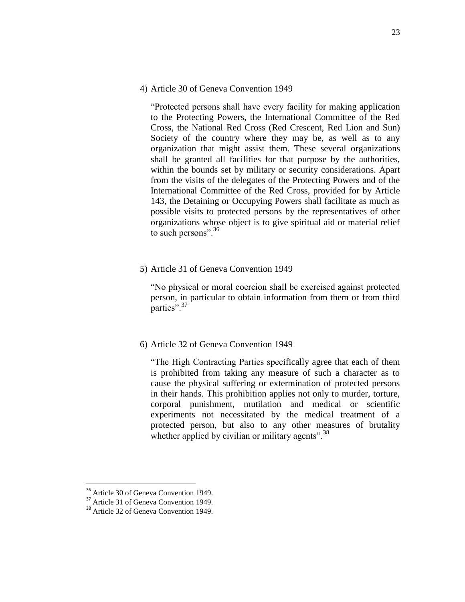4) Article 30 of Geneva Convention 1949

"Protected persons shall have every facility for making application to the Protecting Powers, the International Committee of the Red Cross, the National Red Cross (Red Crescent, Red Lion and Sun) Society of the country where they may be, as well as to any organization that might assist them. These several organizations shall be granted all facilities for that purpose by the authorities, within the bounds set by military or security considerations. Apart from the visits of the delegates of the Protecting Powers and of the International Committee of the Red Cross, provided for by Article 143, the Detaining or Occupying Powers shall facilitate as much as possible visits to protected persons by the representatives of other organizations whose object is to give spiritual aid or material relief to such persons".<sup>36</sup>

5) Article 31 of Geneva Convention 1949

"No physical or moral coercion shall be exercised against protected person, in particular to obtain information from them or from third parties".<sup>37</sup>

## 6) Article 32 of Geneva Convention 1949

"The High Contracting Parties specifically agree that each of them is prohibited from taking any measure of such a character as to cause the physical suffering or extermination of protected persons in their hands. This prohibition applies not only to murder, torture, corporal punishment, mutilation and medical or scientific experiments not necessitated by the medical treatment of a protected person, but also to any other measures of brutality whether applied by civilian or military agents".<sup>38</sup>

<sup>&</sup>lt;sup>36</sup> Article 30 of Geneva Convention 1949.

<sup>&</sup>lt;sup>37</sup> Article 31 of Geneva Convention 1949.

<sup>&</sup>lt;sup>38</sup> Article 32 of Geneva Convention 1949.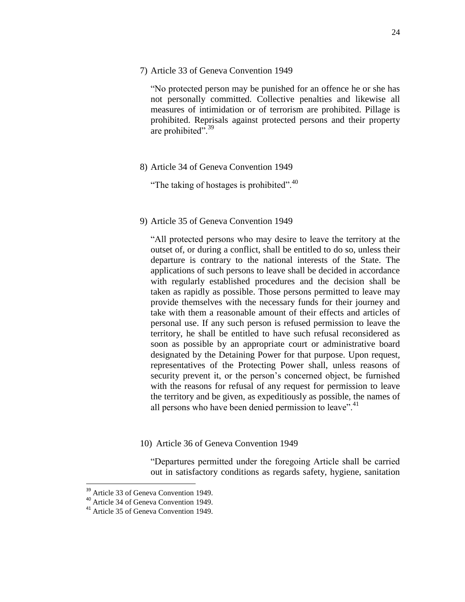7) Article 33 of Geneva Convention 1949

"No protected person may be punished for an offence he or she has not personally committed. Collective penalties and likewise all measures of intimidation or of terrorism are prohibited. Pillage is prohibited. Reprisals against protected persons and their property are prohibited".<sup>39</sup>

8) Article 34 of Geneva Convention 1949

"The taking of hostages is prohibited".<sup>40</sup>

9) Article 35 of Geneva Convention 1949

"All protected persons who may desire to leave the territory at the outset of, or during a conflict, shall be entitled to do so, unless their departure is contrary to the national interests of the State. The applications of such persons to leave shall be decided in accordance with regularly established procedures and the decision shall be taken as rapidly as possible. Those persons permitted to leave may provide themselves with the necessary funds for their journey and take with them a reasonable amount of their effects and articles of personal use. If any such person is refused permission to leave the territory, he shall be entitled to have such refusal reconsidered as soon as possible by an appropriate court or administrative board designated by the Detaining Power for that purpose. Upon request, representatives of the Protecting Power shall, unless reasons of security prevent it, or the person"s concerned object, be furnished with the reasons for refusal of any request for permission to leave the territory and be given, as expeditiously as possible, the names of all persons who have been denied permission to leave". $41$ 

10) Article 36 of Geneva Convention 1949

"Departures permitted under the foregoing Article shall be carried out in satisfactory conditions as regards safety, hygiene, sanitation

<sup>&</sup>lt;sup>39</sup> Article 33 of Geneva Convention 1949.

<sup>40</sup> Article 34 of Geneva Convention 1949.

<sup>&</sup>lt;sup>41</sup> Article 35 of Geneva Convention 1949.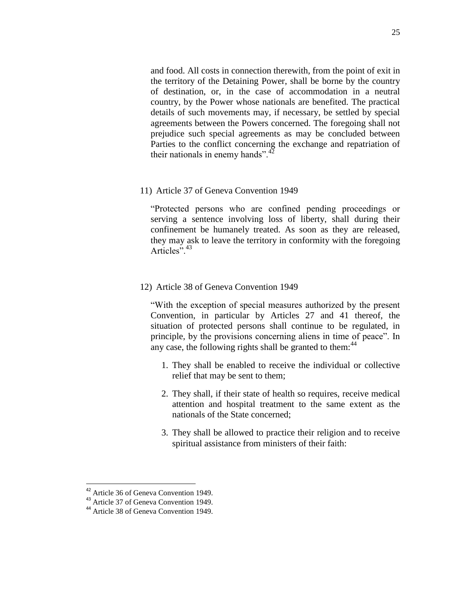and food. All costs in connection therewith, from the point of exit in the territory of the Detaining Power, shall be borne by the country of destination, or, in the case of accommodation in a neutral country, by the Power whose nationals are benefited. The practical details of such movements may, if necessary, be settled by special agreements between the Powers concerned. The foregoing shall not prejudice such special agreements as may be concluded between Parties to the conflict concerning the exchange and repatriation of their nationals in enemy hands". $^{42}$ 

11) Article 37 of Geneva Convention 1949

"Protected persons who are confined pending proceedings or serving a sentence involving loss of liberty, shall during their confinement be humanely treated. As soon as they are released, they may ask to leave the territory in conformity with the foregoing Articles".<sup>43</sup>

12) Article 38 of Geneva Convention 1949

"With the exception of special measures authorized by the present Convention, in particular by Articles 27 and 41 thereof, the situation of protected persons shall continue to be regulated, in principle, by the provisions concerning aliens in time of peace". In any case, the following rights shall be granted to them: $44$ 

- 1. They shall be enabled to receive the individual or collective relief that may be sent to them;
- 2. They shall, if their state of health so requires, receive medical attention and hospital treatment to the same extent as the nationals of the State concerned;
- 3. They shall be allowed to practice their religion and to receive spiritual assistance from ministers of their faith:

<sup>&</sup>lt;sup>42</sup> Article 36 of Geneva Convention 1949.

<sup>&</sup>lt;sup>43</sup> Article 37 of Geneva Convention 1949.

<sup>&</sup>lt;sup>44</sup> Article 38 of Geneva Convention 1949.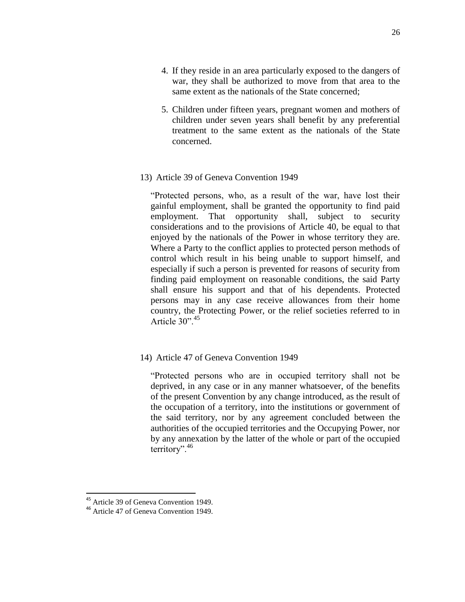- 4. If they reside in an area particularly exposed to the dangers of war, they shall be authorized to move from that area to the same extent as the nationals of the State concerned;
- 5. Children under fifteen years, pregnant women and mothers of children under seven years shall benefit by any preferential treatment to the same extent as the nationals of the State concerned.

## 13) Article 39 of Geneva Convention 1949

"Protected persons, who, as a result of the war, have lost their gainful employment, shall be granted the opportunity to find paid employment. That opportunity shall, subject to security considerations and to the provisions of Article 40, be equal to that enjoyed by the nationals of the Power in whose territory they are. Where a Party to the conflict applies to protected person methods of control which result in his being unable to support himself, and especially if such a person is prevented for reasons of security from finding paid employment on reasonable conditions, the said Party shall ensure his support and that of his dependents. Protected persons may in any case receive allowances from their home country, the Protecting Power, or the relief societies referred to in Article  $30^{3}$ <sup>45</sup>

## 14) Article 47 of Geneva Convention 1949

"Protected persons who are in occupied territory shall not be deprived, in any case or in any manner whatsoever, of the benefits of the present Convention by any change introduced, as the result of the occupation of a territory, into the institutions or government of the said territory, nor by any agreement concluded between the authorities of the occupied territories and the Occupying Power, nor by any annexation by the latter of the whole or part of the occupied territory".<sup>46</sup>

 $\overline{a}$ <sup>45</sup> Article 39 of Geneva Convention 1949.

<sup>46</sup> Article 47 of Geneva Convention 1949.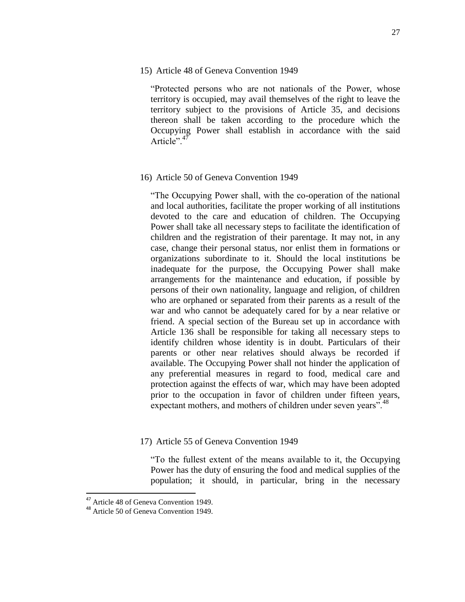"Protected persons who are not nationals of the Power, whose territory is occupied, may avail themselves of the right to leave the territory subject to the provisions of Article 35, and decisions thereon shall be taken according to the procedure which the Occupying Power shall establish in accordance with the said Article".<sup>47</sup>

### 16) Article 50 of Geneva Convention 1949

"The Occupying Power shall, with the co-operation of the national and local authorities, facilitate the proper working of all institutions devoted to the care and education of children. The Occupying Power shall take all necessary steps to facilitate the identification of children and the registration of their parentage. It may not, in any case, change their personal status, nor enlist them in formations or organizations subordinate to it. Should the local institutions be inadequate for the purpose, the Occupying Power shall make arrangements for the maintenance and education, if possible by persons of their own nationality, language and religion, of children who are orphaned or separated from their parents as a result of the war and who cannot be adequately cared for by a near relative or friend. A special section of the Bureau set up in accordance with Article 136 shall be responsible for taking all necessary steps to identify children whose identity is in doubt. Particulars of their parents or other near relatives should always be recorded if available. The Occupying Power shall not hinder the application of any preferential measures in regard to food, medical care and protection against the effects of war, which may have been adopted prior to the occupation in favor of children under fifteen years, expectant mothers, and mothers of children under seven years".<sup>48</sup>

## 17) Article 55 of Geneva Convention 1949

"To the fullest extent of the means available to it, the Occupying Power has the duty of ensuring the food and medical supplies of the population; it should, in particular, bring in the necessary

<sup>47</sup> Article 48 of Geneva Convention 1949.

<sup>48</sup> Article 50 of Geneva Convention 1949.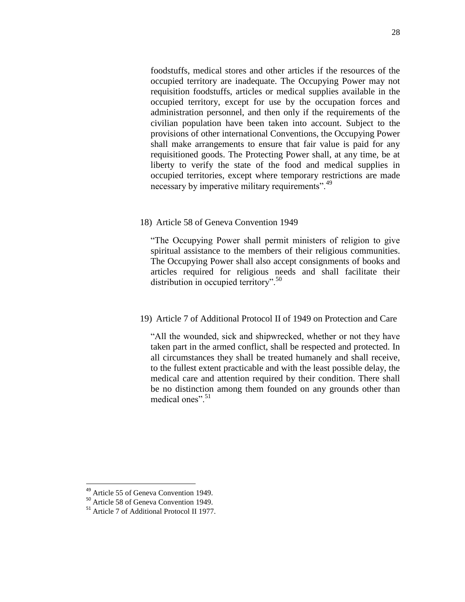foodstuffs, medical stores and other articles if the resources of the occupied territory are inadequate. The Occupying Power may not requisition foodstuffs, articles or medical supplies available in the occupied territory, except for use by the occupation forces and administration personnel, and then only if the requirements of the civilian population have been taken into account. Subject to the provisions of other international Conventions, the Occupying Power shall make arrangements to ensure that fair value is paid for any requisitioned goods. The Protecting Power shall, at any time, be at liberty to verify the state of the food and medical supplies in occupied territories, except where temporary restrictions are made necessary by imperative military requirements".<sup>49</sup>

#### 18) Article 58 of Geneva Convention 1949

"The Occupying Power shall permit ministers of religion to give spiritual assistance to the members of their religious communities. The Occupying Power shall also accept consignments of books and articles required for religious needs and shall facilitate their distribution in occupied territory". $50$ 

## 19) Article 7 of Additional Protocol II of 1949 on Protection and Care

"All the wounded, sick and shipwrecked, whether or not they have taken part in the armed conflict, shall be respected and protected. In all circumstances they shall be treated humanely and shall receive, to the fullest extent practicable and with the least possible delay, the medical care and attention required by their condition. There shall be no distinction among them founded on any grounds other than medical ones"<sup>51</sup>

<sup>&</sup>lt;sup>49</sup> Article 55 of Geneva Convention 1949.

<sup>50</sup> Article 58 of Geneva Convention 1949.

<sup>51</sup> Article 7 of Additional Protocol II 1977.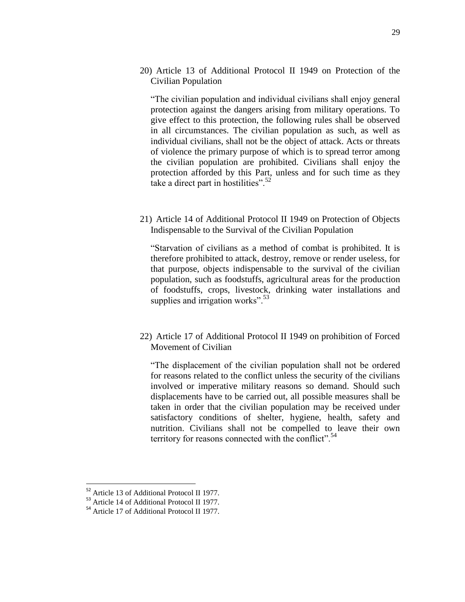20) Article 13 of Additional Protocol II 1949 on Protection of the Civilian Population

"The civilian population and individual civilians shall enjoy general protection against the dangers arising from military operations. To give effect to this protection, the following rules shall be observed in all circumstances. The civilian population as such, as well as individual civilians, shall not be the object of attack. Acts or threats of violence the primary purpose of which is to spread terror among the civilian population are prohibited. Civilians shall enjoy the protection afforded by this Part, unless and for such time as they take a direct part in hostilities".<sup>52</sup>

21) Article 14 of Additional Protocol II 1949 on Protection of Objects Indispensable to the Survival of the Civilian Population

"Starvation of civilians as a method of combat is prohibited. It is therefore prohibited to attack, destroy, remove or render useless, for that purpose, objects indispensable to the survival of the civilian population, such as foodstuffs, agricultural areas for the production of foodstuffs, crops, livestock, drinking water installations and supplies and irrigation works".<sup>53</sup>

22) Article 17 of Additional Protocol II 1949 on prohibition of Forced Movement of Civilian

"The displacement of the civilian population shall not be ordered for reasons related to the conflict unless the security of the civilians involved or imperative military reasons so demand. Should such displacements have to be carried out, all possible measures shall be taken in order that the civilian population may be received under satisfactory conditions of shelter, hygiene, health, safety and nutrition. Civilians shall not be compelled to leave their own territory for reasons connected with the conflict".<sup>54</sup>

<sup>&</sup>lt;sup>52</sup> Article 13 of Additional Protocol II 1977.

<sup>&</sup>lt;sup>53</sup> Article 14 of Additional Protocol II 1977.

<sup>54</sup> Article 17 of Additional Protocol II 1977.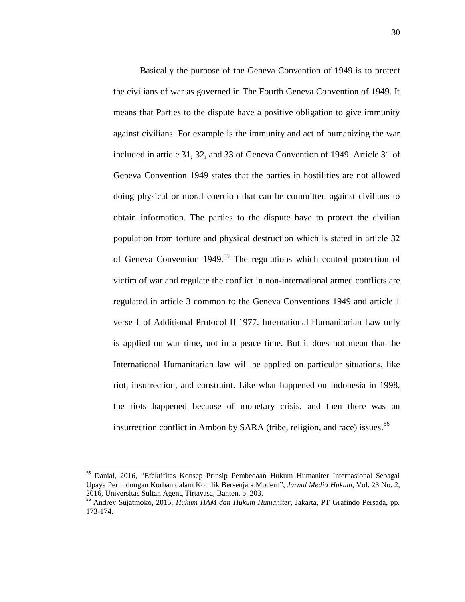Basically the purpose of the Geneva Convention of 1949 is to protect the civilians of war as governed in The Fourth Geneva Convention of 1949. It means that Parties to the dispute have a positive obligation to give immunity against civilians. For example is the immunity and act of humanizing the war included in article 31, 32, and 33 of Geneva Convention of 1949. Article 31 of Geneva Convention 1949 states that the parties in hostilities are not allowed doing physical or moral coercion that can be committed against civilians to obtain information. The parties to the dispute have to protect the civilian population from torture and physical destruction which is stated in article 32 of Geneva Convention 1949.<sup>55</sup> The regulations which control protection of victim of war and regulate the conflict in non-international armed conflicts are regulated in article 3 common to the Geneva Conventions 1949 and article 1 verse 1 of Additional Protocol II 1977. International Humanitarian Law only is applied on war time, not in a peace time. But it does not mean that the International Humanitarian law will be applied on particular situations, like riot, insurrection, and constraint. Like what happened on Indonesia in 1998, the riots happened because of monetary crisis, and then there was an insurrection conflict in Ambon by SARA (tribe, religion, and race) issues.<sup>56</sup>

<sup>&</sup>lt;sup>55</sup> Danial, 2016, "Efektifitas Konsep Prinsip Pembedaan Hukum Humaniter Internasional Sebagai Upaya Perlindungan Korban dalam Konflik Bersenjata Modern", *Jurnal Media Hukum,* Vol. 23 No. 2, 2016, Universitas Sultan Ageng Tirtayasa, Banten, p. 203.

<sup>56</sup> Andrey Sujatmoko, 2015, *Hukum HAM dan Hukum Humaniter,* Jakarta, PT Grafindo Persada, pp. 173-174.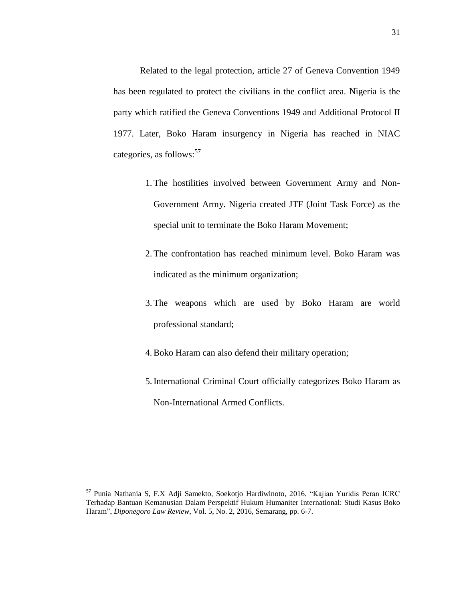Related to the legal protection, article 27 of Geneva Convention 1949 has been regulated to protect the civilians in the conflict area. Nigeria is the party which ratified the Geneva Conventions 1949 and Additional Protocol II 1977. Later, Boko Haram insurgency in Nigeria has reached in NIAC categories, as follows:<sup>57</sup>

- 1. The hostilities involved between Government Army and Non-Government Army. Nigeria created JTF (Joint Task Force) as the special unit to terminate the Boko Haram Movement;
- 2. The confrontation has reached minimum level. Boko Haram was indicated as the minimum organization;
- 3. The weapons which are used by Boko Haram are world professional standard;
- 4.Boko Haram can also defend their military operation;
- 5.International Criminal Court officially categorizes Boko Haram as Non-International Armed Conflicts.

 $\ddot{\phantom{a}}$ 

<sup>&</sup>lt;sup>57</sup> Punia Nathania S, F.X Adji Samekto, Soekotjo Hardiwinoto, 2016, "Kajian Yuridis Peran ICRC Terhadap Bantuan Kemanusian Dalam Perspektif Hukum Humaniter International: Studi Kasus Boko Haram", *Diponegoro Law Review*, Vol. 5, No. 2, 2016, Semarang, pp. 6-7.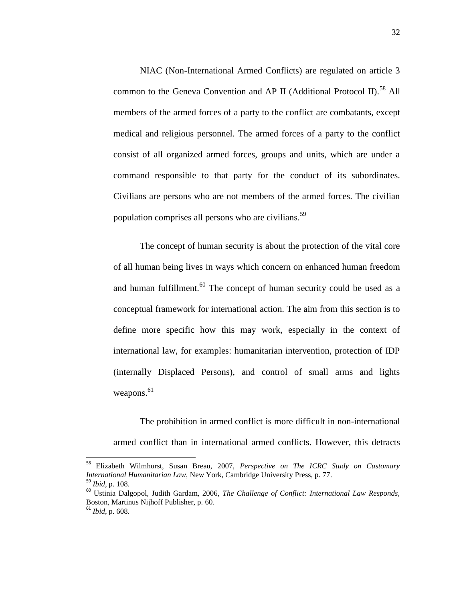NIAC (Non-International Armed Conflicts) are regulated on article 3 common to the Geneva Convention and AP II (Additional Protocol II).<sup>58</sup> All members of the armed forces of a party to the conflict are combatants, except medical and religious personnel. The armed forces of a party to the conflict consist of all organized armed forces, groups and units, which are under a command responsible to that party for the conduct of its subordinates. Civilians are persons who are not members of the armed forces. The civilian population comprises all persons who are civilians.<sup>59</sup>

The concept of human security is about the protection of the vital core of all human being lives in ways which concern on enhanced human freedom and human fulfillment. $60$  The concept of human security could be used as a conceptual framework for international action. The aim from this section is to define more specific how this may work, especially in the context of international law, for examples: humanitarian intervention, protection of IDP (internally Displaced Persons), and control of small arms and lights weapons.<sup>61</sup>

The prohibition in armed conflict is more difficult in non-international armed conflict than in international armed conflicts. However, this detracts

<sup>58</sup> Elizabeth Wilmhurst, Susan Breau, 2007, *Perspective on The ICRC Study on Customary International Humanitarian Law,* New York, Cambridge University Press, p. 77. <sup>59</sup> *Ibid*, p. 108.

<sup>60</sup> Ustinia Dalgopol, Judith Gardam, 2006, *The Challenge of Conflict: International Law Responds,*  Boston, Martinus Nijhoff Publisher, p. 60.

<sup>61</sup> *Ibid*, p. 608.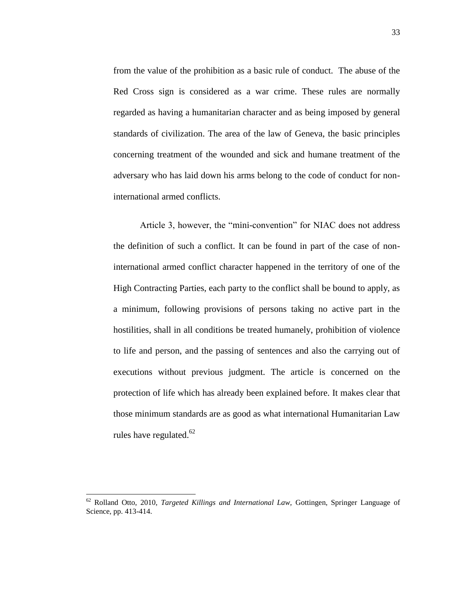from the value of the prohibition as a basic rule of conduct. The abuse of the Red Cross sign is considered as a war crime. These rules are normally regarded as having a humanitarian character and as being imposed by general standards of civilization. The area of the law of Geneva, the basic principles concerning treatment of the wounded and sick and humane treatment of the adversary who has laid down his arms belong to the code of conduct for noninternational armed conflicts.

Article 3, however, the "mini-convention" for NIAC does not address the definition of such a conflict. It can be found in part of the case of noninternational armed conflict character happened in the territory of one of the High Contracting Parties, each party to the conflict shall be bound to apply, as a minimum, following provisions of persons taking no active part in the hostilities, shall in all conditions be treated humanely, prohibition of violence to life and person, and the passing of sentences and also the carrying out of executions without previous judgment. The article is concerned on the protection of life which has already been explained before. It makes clear that those minimum standards are as good as what international Humanitarian Law rules have regulated.<sup>62</sup>

<sup>62</sup> Rolland Otto, 2010, *Targeted Killings and International Law,* Gottingen, Springer Language of Science, pp. 413-414.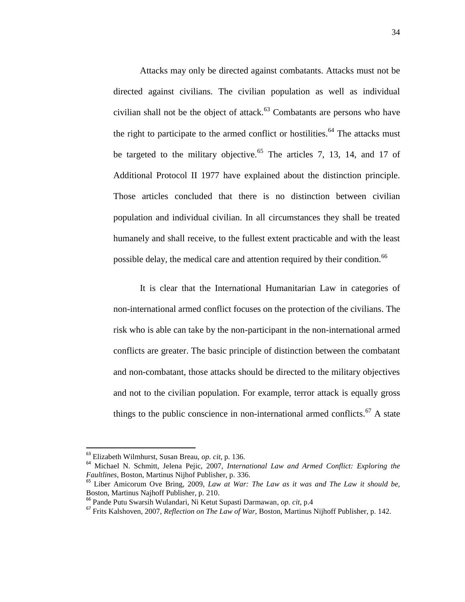Attacks may only be directed against combatants. Attacks must not be directed against civilians. The civilian population as well as individual civilian shall not be the object of attack. $63$  Combatants are persons who have the right to participate to the armed conflict or hostilities.<sup>64</sup> The attacks must be targeted to the military objective.<sup>65</sup> The articles 7, 13, 14, and 17 of Additional Protocol II 1977 have explained about the distinction principle. Those articles concluded that there is no distinction between civilian population and individual civilian. In all circumstances they shall be treated humanely and shall receive, to the fullest extent practicable and with the least possible delay, the medical care and attention required by their condition.<sup>66</sup>

It is clear that the International Humanitarian Law in categories of non-international armed conflict focuses on the protection of the civilians. The risk who is able can take by the non-participant in the non-international armed conflicts are greater. The basic principle of distinction between the combatant and non-combatant, those attacks should be directed to the military objectives and not to the civilian population. For example, terror attack is equally gross things to the public conscience in non-international armed conflicts.<sup>67</sup> A state

<sup>63</sup> Elizabeth Wilmhurst, Susan Breau, *op. cit*, p. 136.

<sup>64</sup> Michael N. Schmitt, Jelena Pejic, 2007, *International Law and Armed Conflict: Exploring the Faultlines,* Boston, Martinus Nijhof Publisher, p. 336.

<sup>65</sup> Liber Amicorum Ove Bring, 2009, *Law at War: The Law as it was and The Law it should be,*  Boston, Martinus Najhoff Publisher, p. 210.

<sup>66</sup> Pande Putu Swarsih Wulandari, Ni Ketut Supasti Darmawan, *op. cit,* p.4

<sup>67</sup> Frits Kalshoven, 2007, *Reflection on The Law of War,* Boston, Martinus Nijhoff Publisher, p. 142.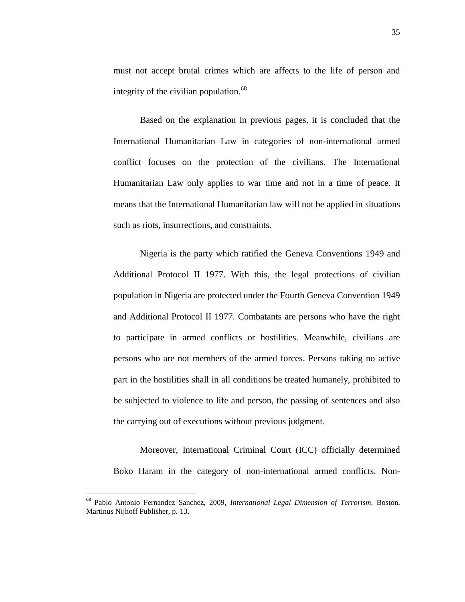must not accept brutal crimes which are affects to the life of person and integrity of the civilian population. $68$ 

Based on the explanation in previous pages, it is concluded that the International Humanitarian Law in categories of non-international armed conflict focuses on the protection of the civilians. The International Humanitarian Law only applies to war time and not in a time of peace. It means that the International Humanitarian law will not be applied in situations such as riots, insurrections, and constraints.

Nigeria is the party which ratified the Geneva Conventions 1949 and Additional Protocol II 1977. With this, the legal protections of civilian population in Nigeria are protected under the Fourth Geneva Convention 1949 and Additional Protocol II 1977. Combatants are persons who have the right to participate in armed conflicts or hostilities. Meanwhile, civilians are persons who are not members of the armed forces. Persons taking no active part in the hostilities shall in all conditions be treated humanely, prohibited to be subjected to violence to life and person, the passing of sentences and also the carrying out of executions without previous judgment.

Moreover, International Criminal Court (ICC) officially determined Boko Haram in the category of non-international armed conflicts. Non-

<sup>68</sup> Pablo Antonio Fernandez Sanchez, 2009, *International Legal Dimension of Terrorism,* Boston, Martinus Nijhoff Publisher, p. 13.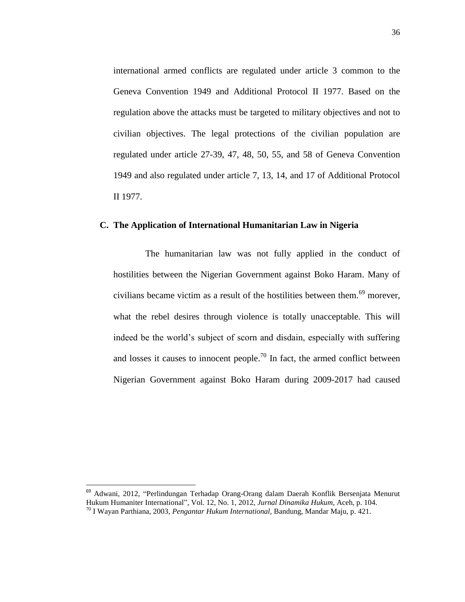international armed conflicts are regulated under article 3 common to the Geneva Convention 1949 and Additional Protocol II 1977. Based on the regulation above the attacks must be targeted to military objectives and not to civilian objectives. The legal protections of the civilian population are regulated under article 27-39, 47, 48, 50, 55, and 58 of Geneva Convention 1949 and also regulated under article 7, 13, 14, and 17 of Additional Protocol II 1977.

# **C. The Application of International Humanitarian Law in Nigeria**

The humanitarian law was not fully applied in the conduct of hostilities between the Nigerian Government against Boko Haram. Many of civilians became victim as a result of the hostilities between them.<sup>69</sup> morever, what the rebel desires through violence is totally unacceptable. This will indeed be the world"s subject of scorn and disdain, especially with suffering and losses it causes to innocent people.<sup>70</sup> In fact, the armed conflict between Nigerian Government against Boko Haram during 2009-2017 had caused

<sup>69</sup> Adwani, 2012, "Perlindungan Terhadap Orang-Orang dalam Daerah Konflik Bersenjata Menurut Hukum Humaniter International", Vol. 12, No. 1, 2012, *Jurnal Dinamika Hukum,* Aceh, p. 104.

 $\ddot{\phantom{a}}$ 

<sup>70</sup> I Wayan Parthiana, 2003, *Pengantar Hukum International,* Bandung, Mandar Maju, p. 421.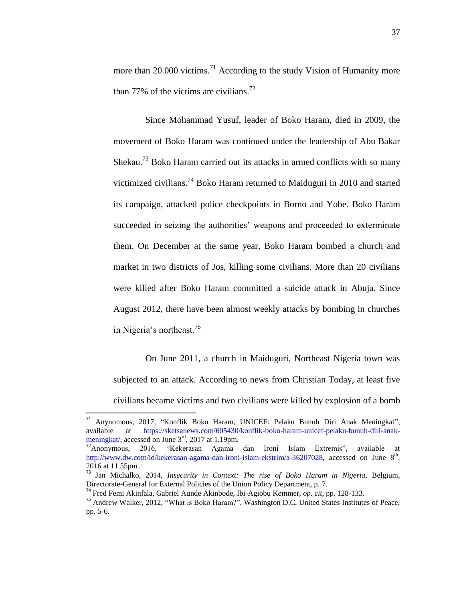more than 20.000 victims.<sup>71</sup> According to the study Vision of Humanity more than 77% of the victims are civilians.<sup>72</sup>

Since Mohammad Yusuf, leader of Boko Haram, died in 2009, the movement of Boko Haram was continued under the leadership of Abu Bakar Shekau.<sup>73</sup> Boko Haram carried out its attacks in armed conflicts with so many victimized civilians.<sup>74</sup> Boko Haram returned to Maiduguri in 2010 and started its campaign, attacked police checkpoints in Borno and Yobe. Boko Haram succeeded in seizing the authorities' weapons and proceeded to exterminate them. On December at the same year, Boko Haram bombed a church and market in two districts of Jos, killing some civilians. More than 20 civilians were killed after Boko Haram committed a suicide attack in Abuja. Since August 2012, there have been almost weekly attacks by bombing in churches in Nigeria's northeast.<sup>75</sup>

On June 2011, a church in Maiduguri, Northeast Nigeria town was subjected to an attack. According to news from Christian Today, at least five civilians became victims and two civilians were killed by explosion of a bomb

 $71$ <sup>71</sup> Anynomous, 2017, "Konflik Boko Haram, UNICEF: Pelaku Bunuh Diri Anak Meningkat", available at [https://sketsanews.com/605430/konflik-boko-haram-unicef-pelaku-bunuh-diri-anak-](https://sketsanews.com/605430/konflik-boko-haram-unicef-pelaku-bunuh-diri-anak-meningkat/) $\frac{\text{meningkat}}{72}$  accessed on June  $3^{\text{rd}}$ , 2017 at 1.19pm.

<sup>&</sup>quot;Kekerasan Agama dan Ironi Islam Extremis", available at [http://www.dw.com/id/kekerasan-agama-dan-ironi-islam-ekstrim/a-36207028,](http://www.dw.com/id/kekerasan-agama-dan-ironi-islam-ekstrim/a-36207028) accessed on June 8<sup>th</sup>, 2016 at 11.55pm.

<sup>73</sup> Jan Michalko, 2014, *Insecurity in Context: The rise of Boko Haram in Nigeria,* Belgium, Directorate-General for External Policies of the Union Policy Department, p. 7.

<sup>74</sup> Fred Femi Akinfala, Gabriel Aunde Akinbode, Ibi-Agiobu Kemmer, *op. cit*, pp. 128-133.

<sup>&</sup>lt;sup>75</sup> Andrew Walker, 2012, "What is Boko Haram?", Washington D.C, United States Institutes of Peace, pp. 5-6.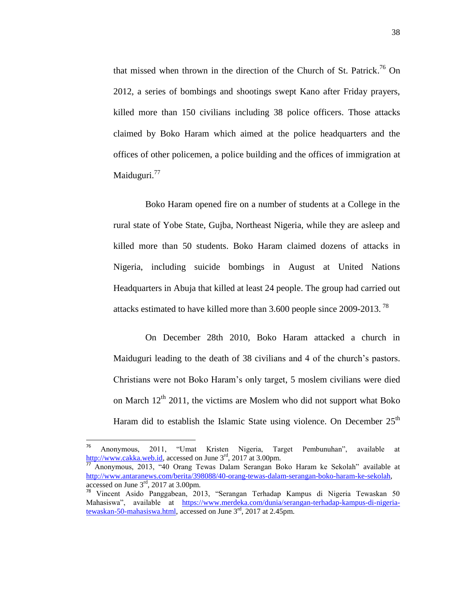that missed when thrown in the direction of the Church of St. Patrick. <sup>76</sup> On 2012, a series of bombings and shootings swept Kano after Friday prayers, killed more than 150 civilians including 38 police officers. Those attacks claimed by Boko Haram which aimed at the police headquarters and the offices of other policemen, a police building and the offices of immigration at Maiduguri.<sup>77</sup>

Boko Haram opened fire on a number of students at a College in the rural state of Yobe State, Gujba, Northeast Nigeria, while they are asleep and killed more than 50 students. Boko Haram claimed dozens of attacks in Nigeria, including suicide bombings in August at United Nations Headquarters in Abuja that killed at least 24 people. The group had carried out attacks estimated to have killed more than 3.600 people since 2009-2013. <sup>78</sup>

On December 28th 2010, Boko Haram attacked a church in Maiduguri leading to the death of 38 civilians and 4 of the church"s pastors. Christians were not Boko Haram"s only target, 5 moslem civilians were died on March  $12<sup>th</sup>$  2011, the victims are Moslem who did not support what Boko Haram did to establish the Islamic State using violence. On December  $25<sup>th</sup>$ 

 $\ddot{\phantom{a}}$ 

<sup>76</sup> Anonymous, 2011, "Umat Kristen Nigeria, Target Pembunuhan", available at [http://www.cakka.web.id,](http://www.cakka.web.id/) accessed on June 3<sup>rd</sup>, 2017 at 3.00pm.

<sup>77</sup> Anonymous, 2013, "40 Orang Tewas Dalam Serangan Boko Haram ke Sekolah" available at [http://www.antaranews.com/berita/398088/40-orang-tewas-dalam-serangan-boko-haram-ke-sekolah,](http://www.antaranews.com/berita/398088/40-orang-tewas-dalam-serangan-boko-haram-ke-sekolah)  accessed on June 3rd, 2017 at 3.00pm.

<sup>78</sup> Vincent Asido Panggabean, 2013, "Serangan Terhadap Kampus di Nigeria Tewaskan 50 Mahasiswa", available at [https://www.merdeka.com/dunia/serangan-terhadap-kampus-di-nigeria](https://www.merdeka.com/dunia/serangan-terhadap-kampus-di-nigeria-tewaskan-50-mahasiswa.html)[tewaskan-50-mahasiswa.html,](https://www.merdeka.com/dunia/serangan-terhadap-kampus-di-nigeria-tewaskan-50-mahasiswa.html) accessed on June 3rd, 2017 at 2.45pm.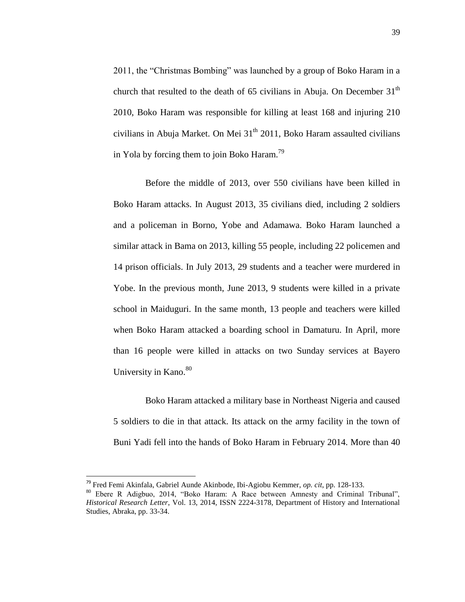2011, the "Christmas Bombing" was launched by a group of Boko Haram in a church that resulted to the death of 65 civilians in Abuja. On December  $31<sup>th</sup>$ 2010, Boko Haram was responsible for killing at least 168 and injuring 210 civilians in Abuja Market. On Mei  $31<sup>th</sup>$  2011, Boko Haram assaulted civilians in Yola by forcing them to join Boko Haram.<sup>79</sup>

Before the middle of 2013, over 550 civilians have been killed in Boko Haram attacks. In August 2013, 35 civilians died, including 2 soldiers and a policeman in Borno, Yobe and Adamawa. Boko Haram launched a similar attack in Bama on 2013, killing 55 people, including 22 policemen and 14 prison officials. In July 2013, 29 students and a teacher were murdered in Yobe. In the previous month, June 2013, 9 students were killed in a private school in Maiduguri. In the same month, 13 people and teachers were killed when Boko Haram attacked a boarding school in Damaturu. In April, more than 16 people were killed in attacks on two Sunday services at Bayero University in Kano.<sup>80</sup>

Boko Haram attacked a military base in Northeast Nigeria and caused 5 soldiers to die in that attack. Its attack on the army facility in the town of Buni Yadi fell into the hands of Boko Haram in February 2014. More than 40

<sup>79</sup> Fred Femi Akinfala, Gabriel Aunde Akinbode, Ibi-Agiobu Kemmer, *op. cit*, pp. 128-133.

<sup>80</sup> Ebere R Adigbuo, 2014, "Boko Haram: A Race between Amnesty and Criminal Tribunal", *Historical Research Letter*, Vol. 13, 2014, ISSN 2224-3178, Department of History and International Studies, Abraka, pp. 33-34.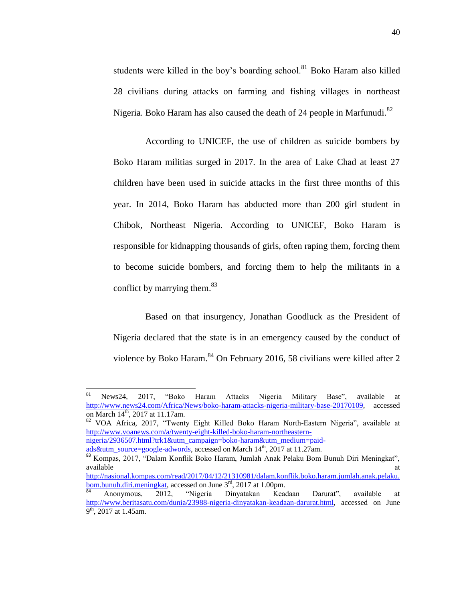students were killed in the boy's boarding school.<sup>81</sup> Boko Haram also killed 28 civilians during attacks on farming and fishing villages in northeast Nigeria. Boko Haram has also caused the death of 24 people in Marfunudi. $82$ 

According to UNICEF, the use of children as suicide bombers by Boko Haram militias surged in 2017. In the area of Lake Chad at least 27 children have been used in suicide attacks in the first three months of this year. In 2014, Boko Haram has abducted more than 200 girl student in Chibok, Northeast Nigeria. According to UNICEF, Boko Haram is responsible for kidnapping thousands of girls, often raping them, forcing them to become suicide bombers, and forcing them to help the militants in a conflict by marrying them.<sup>83</sup>

Based on that insurgency, Jonathan Goodluck as the President of Nigeria declared that the state is in an emergency caused by the conduct of violence by Boko Haram.<sup>84</sup> On February 2016, 58 civilians were killed after 2

<sup>82</sup> VOA Africa, 2017, "Twenty Eight Killed Boko Haram North-Eastern Nigeria", available at [http://www.voanews.com/a/twenty-eight-killed-boko-haram-northeastern-](http://www.voanews.com/a/twenty-eight-killed-boko-haram-northeastern-nigeria/2936507.html?trk1&utm_campaign=boko-haram&utm_medium=paid-ads&utm_source=google-adwords)

[nigeria/2936507.html?trk1&utm\\_campaign=boko-haram&utm\\_medium=paid](http://www.voanews.com/a/twenty-eight-killed-boko-haram-northeastern-nigeria/2936507.html?trk1&utm_campaign=boko-haram&utm_medium=paid-ads&utm_source=google-adwords)[ads&utm\\_source=google-adwords,](http://www.voanews.com/a/twenty-eight-killed-boko-haram-northeastern-nigeria/2936507.html?trk1&utm_campaign=boko-haram&utm_medium=paid-ads&utm_source=google-adwords) accessed on March 14<sup>th</sup>, 2017 at 11.27am.

 $81\,$ <sup>81</sup> News24, 2017, "Boko Haram Attacks Nigeria Military Base", available at [http://www.news24.com/Africa/News/boko-haram-attacks-nigeria-military-base-20170109,](http://www.news24.com/Africa/News/boko-haram-attacks-nigeria-military-base-20170109) accessed on March 14<sup>th</sup>, 2017 at 11.17am.

<sup>83</sup> Kompas, 2017, "Dalam Konflik Boko Haram, Jumlah Anak Pelaku Bom Bunuh Diri Meningkat", available at the contract of the contract of the contract of the contract of the contract of the contract of the contract of the contract of the contract of the contract of the contract of the contract of the contract of t

[http://nasional.kompas.com/read/2017/04/12/21310981/dalam.konflik.boko.haram.jumlah.anak.pelaku.](http://nasional.kompas.com/read/2017/04/12/21310981/dalam.konflik.boko.haram.jumlah.anak.pelaku.bom.bunuh.diri.meningkat) [bom.bunuh.diri.meningkat,](http://nasional.kompas.com/read/2017/04/12/21310981/dalam.konflik.boko.haram.jumlah.anak.pelaku.bom.bunuh.diri.meningkat) accessed on June 3<sup>rd</sup>, 2017 at 1.00pm.

<sup>84</sup> Anonymous, 2012, "Nigeria Dinyatakan Keadaan Darurat", available at [http://www.beritasatu.com/dunia/23988-nigeria-dinyatakan-keadaan-darurat.html,](http://www.beritasatu.com/dunia/23988-nigeria-dinyatakan-keadaan-darurat.html) accessed on June  $9<sup>th</sup>$ , 2017 at 1.45am.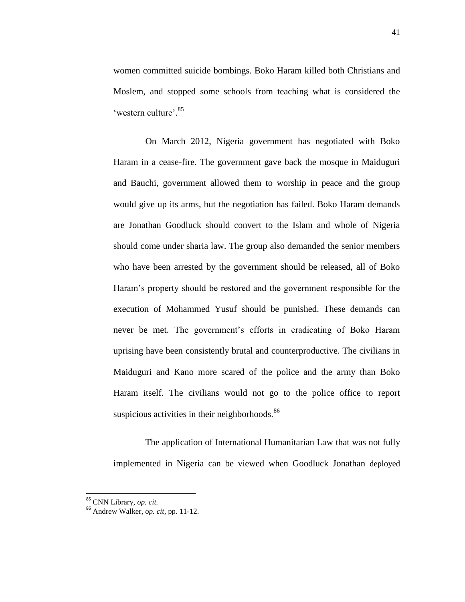women committed suicide bombings. Boko Haram killed both Christians and Moslem, and stopped some schools from teaching what is considered the 'western culture'.<sup>85</sup>

On March 2012, Nigeria government has negotiated with Boko Haram in a cease-fire. The government gave back the mosque in Maiduguri and Bauchi, government allowed them to worship in peace and the group would give up its arms, but the negotiation has failed. Boko Haram demands are Jonathan Goodluck should convert to the Islam and whole of Nigeria should come under sharia law. The group also demanded the senior members who have been arrested by the government should be released, all of Boko Haram"s property should be restored and the government responsible for the execution of Mohammed Yusuf should be punished. These demands can never be met. The government"s efforts in eradicating of Boko Haram uprising have been consistently brutal and counterproductive. The civilians in Maiduguri and Kano more scared of the police and the army than Boko Haram itself. The civilians would not go to the police office to report suspicious activities in their neighborhoods. $86$ 

The application of International Humanitarian Law that was not fully implemented in Nigeria can be viewed when Goodluck Jonathan deployed

<sup>85</sup> CNN Library, *op. cit.*

<sup>86</sup> Andrew Walker, *op. cit*, pp. 11-12.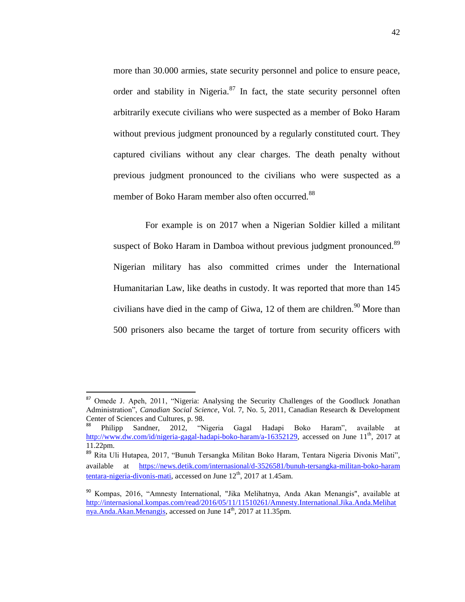more than 30.000 armies, state security personnel and police to ensure peace, order and stability in Nigeria. $87$  In fact, the state security personnel often arbitrarily execute civilians who were suspected as a member of Boko Haram without previous judgment pronounced by a regularly constituted court. They captured civilians without any clear charges. The death penalty without previous judgment pronounced to the civilians who were suspected as a member of Boko Haram member also often occurred.<sup>88</sup>

For example is on 2017 when a Nigerian Soldier killed a militant suspect of Boko Haram in Damboa without previous judgment pronounced.<sup>89</sup> Nigerian military has also committed crimes under the International Humanitarian Law, like deaths in custody. It was reported that more than 145 civilians have died in the camp of Giwa, 12 of them are children.<sup>90</sup> More than 500 prisoners also became the target of torture from security officers with

<sup>87</sup> Omede J. Apeh, 2011, "Nigeria: Analysing the Security Challenges of the Goodluck Jonathan Administration", *Canadian Social Science*, Vol. 7, No. 5, 2011, Canadian Research & Development Center of Sciences and Cultures, p. 98.

<sup>88</sup> Philipp Sandner, 2012, "Nigeria Gagal Hadapi Boko Haram", available at [http://www.dw.com/id/nigeria-gagal-hadapi-boko-haram/a-16352129,](http://www.dw.com/id/nigeria-gagal-hadapi-boko-haram/a-16352129) accessed on June 11<sup>th</sup>, 2017 at 11.22pm.

<sup>89</sup> Rita Uli Hutapea, 2017, "Bunuh Tersangka Militan Boko Haram, Tentara Nigeria Divonis Mati", available at [https://news.detik.com/internasional/d-3526581/bunuh-tersangka-militan-boko-haram](https://news.detik.com/internasional/d-3526581/bunuh-tersangka-militan-boko-haram%20tentara-nigeria-divonis-mati)  [tentara-nigeria-divonis-mati,](https://news.detik.com/internasional/d-3526581/bunuh-tersangka-militan-boko-haram%20tentara-nigeria-divonis-mati) accessed on June  $12<sup>th</sup>$ , 2017 at 1.45am.

<sup>90</sup> Kompas, 2016, "Amnesty International, "Jika Melihatnya, Anda Akan Menangis", available at [http://internasional.kompas.com/read/2016/05/11/11510261/Amnesty.International.Jika.Anda.Melihat](http://internasional.kompas.com/read/2016/05/11/11510261/Amnesty.International.Jika.Anda.Melihatnya.Anda.Akan.Menangis) [nya.Anda.Akan.Menangis,](http://internasional.kompas.com/read/2016/05/11/11510261/Amnesty.International.Jika.Anda.Melihatnya.Anda.Akan.Menangis) accessed on June 14<sup>th</sup>, 2017 at 11.35pm.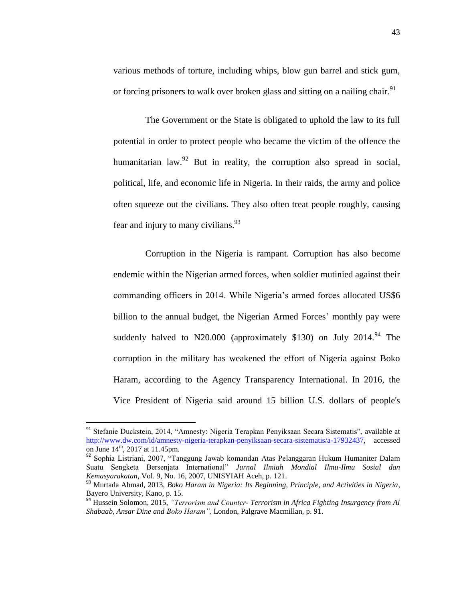various methods of torture, including whips, blow gun barrel and stick gum, or forcing prisoners to walk over broken glass and sitting on a nailing chair.<sup>91</sup>

The Government or the State is obligated to uphold the law to its full potential in order to protect people who became the victim of the offence the humanitarian law. $92$  But in reality, the corruption also spread in social, political, life, and economic life in Nigeria. In their raids, the army and police often squeeze out the civilians. They also often treat people roughly, causing fear and injury to many civilians.<sup>93</sup>

Corruption in the Nigeria is rampant. Corruption has also become endemic within the Nigerian armed forces, when soldier mutinied against their commanding officers in 2014. While Nigeria's armed forces allocated US\$6 billion to the annual budget, the Nigerian Armed Forces' monthly pay were suddenly halved to N20.000 (approximately \$130) on July  $2014^{94}$  The corruption in the military has weakened the effort of Nigeria against Boko Haram, according to the Agency Transparency International. In 2016, the Vice President of Nigeria said around 15 billion U.S. dollars of people's

<sup>&</sup>lt;sup>91</sup> Stefanie Duckstein, 2014, "Amnesty: Nigeria Terapkan Penyiksaan Secara Sistematis", available at [http://www.dw.com/id/amnesty-nigeria-terapkan-penyiksaan-secara-sistematis/a-17932437,](http://www.dw.com/id/amnesty-nigeria-terapkan-penyiksaan-secara-sistematis/a-17932437) accessed on June 14<sup>th</sup>, 2017 at 11.45pm.

<sup>&</sup>lt;sup>92</sup> Sophia Listriani, 2007, "Tanggung Jawab komandan Atas Pelanggaran Hukum Humaniter Dalam Suatu Sengketa Bersenjata International" *Jurnal Ilmiah Mondial Ilmu-Ilmu Sosial dan Kemasyarakatan,* Vol. 9, No. 16, 2007, UNISYIAH Aceh, p. 121.

<sup>93</sup> Murtada Ahmad, 2013, *Boko Haram in Nigeria: Its Beginning, Principle, and Activities in Nigeria*, Bayero University, Kano, p. 15.

<sup>94</sup> Hussein Solomon, 2015, *"Terrorism and Counter- Terrorism in Africa Fighting Insurgency from Al Shabaab, Ansar Dine and Boko Haram",* London, Palgrave Macmillan, p. 91.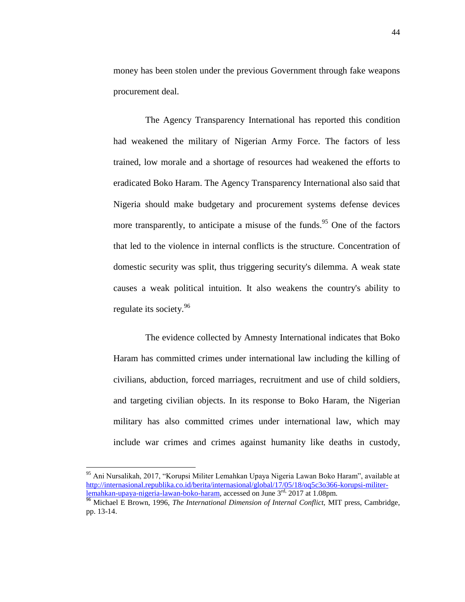money has been stolen under the previous Government through fake weapons procurement deal.

The Agency Transparency International has reported this condition had weakened the military of Nigerian Army Force. The factors of less trained, low morale and a shortage of resources had weakened the efforts to eradicated Boko Haram. The Agency Transparency International also said that Nigeria should make budgetary and procurement systems defense devices more transparently, to anticipate a misuse of the funds.<sup>95</sup> One of the factors that led to the violence in internal conflicts is the structure. Concentration of domestic security was split, thus triggering security's dilemma. A weak state causes a weak political intuition. It also weakens the country's ability to regulate its society.<sup>96</sup>

The evidence collected by Amnesty International indicates that Boko Haram has committed crimes under international law including the killing of civilians, abduction, forced marriages, recruitment and use of child soldiers, and targeting civilian objects. In its response to Boko Haram, the Nigerian military has also committed crimes under international law, which may include war crimes and crimes against humanity like deaths in custody,

<sup>&</sup>lt;sup>95</sup> Ani Nursalikah, 2017, "Korupsi Militer Lemahkan Upaya Nigeria Lawan Boko Haram", available at [http://internasional.republika.co.id/berita/internasional/global/17/05/18/oq5c3o366-korupsi-militer](http://internasional.republika.co.id/berita/internasional/global/17/05/18/oq5c3o366-korupsi-militer-lemahkan-upaya-nigeria-lawan-boko-haram)[lemahkan-upaya-nigeria-lawan-boko-haram,](http://internasional.republika.co.id/berita/internasional/global/17/05/18/oq5c3o366-korupsi-militer-lemahkan-upaya-nigeria-lawan-boko-haram) accessed on June 3<sup>rd,</sup> 2017 at 1.08pm.

<sup>&</sup>lt;sup>96</sup> Michael E Brown, 1996, *The International Dimension of Internal Conflict*, MIT press, Cambridge, pp. 13-14.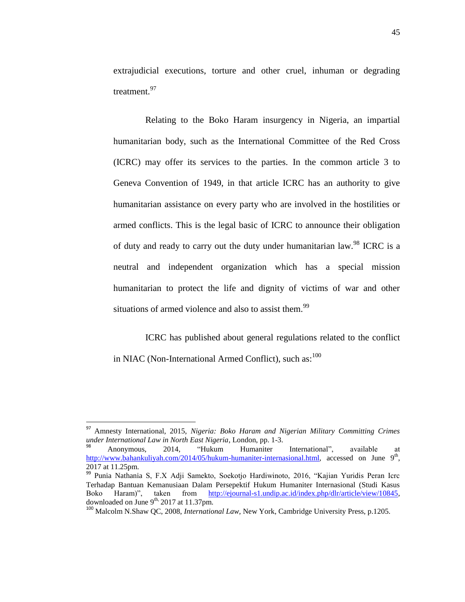extrajudicial executions, torture and other cruel, inhuman or degrading treatment. 97

Relating to the Boko Haram insurgency in Nigeria, an impartial humanitarian body, such as the International Committee of the Red Cross (ICRC) may offer its services to the parties. In the common article 3 to Geneva Convention of 1949, in that article ICRC has an authority to give humanitarian assistance on every party who are involved in the hostilities or armed conflicts. This is the legal basic of ICRC to announce their obligation of duty and ready to carry out the duty under humanitarian law.<sup>98</sup> ICRC is a neutral and independent organization which has a special mission humanitarian to protect the life and dignity of victims of war and other situations of armed violence and also to assist them.<sup>99</sup>

ICRC has published about general regulations related to the conflict in NIAC (Non-International Armed Conflict), such as: $100$ 

<sup>97</sup> Amnesty International, 2015, *Nigeria: Boko Haram and Nigerian Military Committing Crimes under International Law in North East Nigeria*, London, pp. 1-3.

<sup>98</sup> Anonymous, 2014, "Hukum Humaniter International", available at [http://www.bahankuliyah.com/2014/05/hukum-humaniter-internasional.html,](http://www.bahankuliyah.com/2014/05/hukum-humaniter-internasional.html) accessed on June 9<sup>th</sup>, 2017 at 11.25pm.

<sup>99</sup> Punia Nathania S, F.X Adji Samekto, Soekotjo Hardiwinoto, 2016, "Kajian Yuridis Peran Icrc Terhadap Bantuan Kemanusiaan Dalam Persepektif Hukum Humaniter Internasional (Studi Kasus Boko Haram)", taken from [http://ejournal-s1.undip.ac.id/index.php/dlr/article/view/10845,](http://ejournal-s1.undip.ac.id/index.php/dlr/article/view/10845) downloaded on June  $9^{th}$ , 2017 at 11.37pm.

<sup>100</sup> Malcolm N.Shaw QC, 2008, *International Law,* New York, Cambridge University Press, p.1205.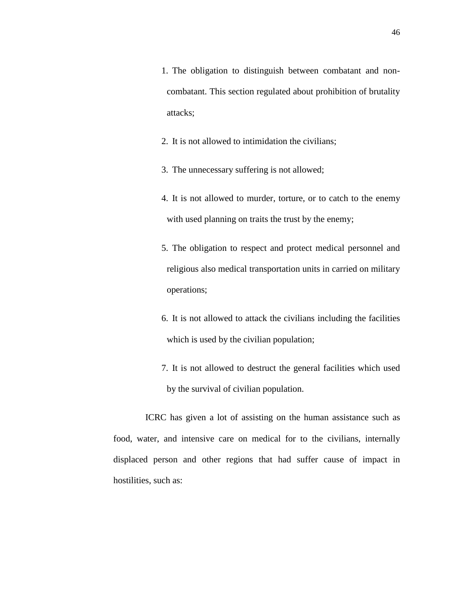2. It is not allowed to intimidation the civilians;

3. The unnecessary suffering is not allowed;

- 4. It is not allowed to murder, torture, or to catch to the enemy with used planning on traits the trust by the enemy;
- 5. The obligation to respect and protect medical personnel and religious also medical transportation units in carried on military operations;
- 6. It is not allowed to attack the civilians including the facilities which is used by the civilian population;
- 7. It is not allowed to destruct the general facilities which used by the survival of civilian population.

ICRC has given a lot of assisting on the human assistance such as food, water, and intensive care on medical for to the civilians, internally displaced person and other regions that had suffer cause of impact in hostilities, such as: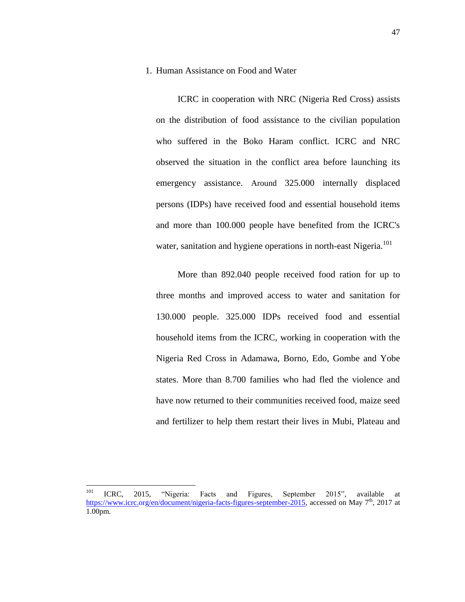#### 1. Human Assistance on Food and Water

ICRC in cooperation with NRC (Nigeria Red Cross) assists on the distribution of food assistance to the civilian population who suffered in the Boko Haram conflict. ICRC and NRC observed the situation in the conflict area before launching its emergency assistance. Around 325.000 internally displaced persons (IDPs) have received food and essential household items and more than 100.000 people have benefited from the ICRC's water, sanitation and hygiene operations in north-east Nigeria.<sup>101</sup>

More than 892.040 people received food ration for up to three months and improved access to water and sanitation for 130.000 people. 325.000 IDPs received food and essential household items from the ICRC, working in cooperation with the Nigeria Red Cross in Adamawa, Borno, Edo, Gombe and Yobe states. More than 8.700 families who had fled the violence and have now returned to their communities received food, maize seed and fertilizer to help them restart their lives in Mubi, Plateau and

<sup>101</sup> <sup>101</sup> ICRC, 2015, "Nigeria: Facts and Figures, September 2015"*,* available at [https://www.icrc.org/en/document/nigeria-facts-figures-september-2015,](https://www.icrc.org/en/document/nigeria-facts-figures-september-2015) accessed on May 7<sup>th</sup>, 2017 at 1.00pm.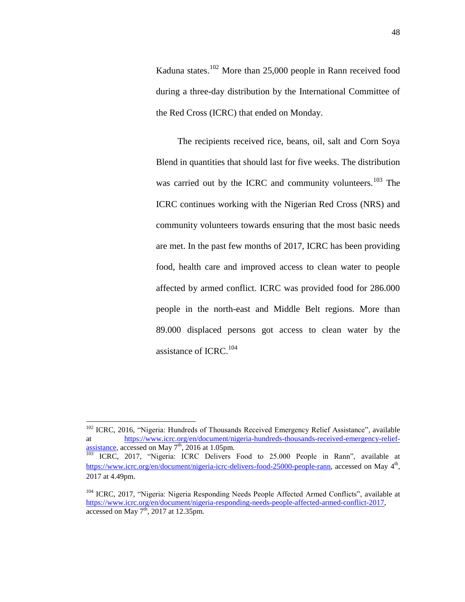Kaduna states.<sup>102</sup> More than 25,000 people in Rann received food during a three-day distribution by the International Committee of the Red Cross (ICRC) that ended on Monday.

The recipients received rice, beans, oil, salt and Corn Soya Blend in quantities that should last for five weeks. The distribution was carried out by the ICRC and community volunteers.<sup>103</sup> The ICRC continues working with the Nigerian Red Cross (NRS) and community volunteers towards ensuring that the most basic needs are met. In the past few months of 2017, ICRC has been providing food, health care and improved access to clean water to people affected by armed conflict. ICRC was provided food for 286.000 people in the north-east and Middle Belt regions. More than 89.000 displaced persons got access to clean water by the assistance of ICRC.<sup>104</sup>

<sup>102</sup> ICRC, 2016, "Nigeria: Hundreds of Thousands Received Emergency Relief Assistance"*,* available [https://www.icrc.org/en/document/nigeria-hundreds-thousands-received-emergency-relief](https://www.icrc.org/en/document/nigeria-hundreds-thousands-received-emergency-relief-assistance)[assistance,](https://www.icrc.org/en/document/nigeria-hundreds-thousands-received-emergency-relief-assistance) accessed on May  $7<sup>th</sup>$ , 2016 at 1.05pm.

<sup>&</sup>lt;sup>103</sup> ICRC, 2017, "Nigeria: ICRC Delivers Food to 25.000 People in Rann", available at [https://www.icrc.org/en/document/nigeria-icrc-delivers-food-25000-people-rann,](https://www.icrc.org/en/document/nigeria-icrc-delivers-food-25000-people-rann) accessed on May 4<sup>th</sup>, 2017 at 4.49pm.

<sup>&</sup>lt;sup>104</sup> ICRC, 2017, "Nigeria: Nigeria Responding Needs People Affected Armed Conflicts", available at [https://www.icrc.org/en/document/nigeria-responding-needs-people-affected-armed-conflict-2017,](https://www.icrc.org/en/document/nigeria-responding-needs-people-affected-armed-conflict-2017) accessed on May  $7<sup>th</sup>$ , 2017 at 12.35pm.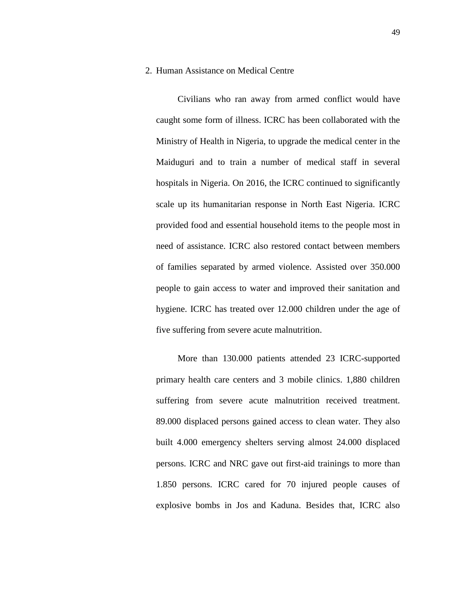#### 2. Human Assistance on Medical Centre

Civilians who ran away from armed conflict would have caught some form of illness. ICRC has been collaborated with the Ministry of Health in Nigeria, to upgrade the medical center in the Maiduguri and to train a number of medical staff in several hospitals in Nigeria. On 2016, the ICRC continued to significantly scale up its humanitarian response in North East Nigeria. ICRC provided food and essential household items to the people most in need of assistance. ICRC also restored contact between members of families separated by armed violence. Assisted over 350.000 people to gain access to water and improved their sanitation and hygiene. ICRC has treated over 12.000 children under the age of five suffering from severe acute malnutrition.

More than 130.000 patients attended 23 ICRC-supported primary health care centers and 3 mobile clinics. 1,880 children suffering from severe acute malnutrition received treatment. 89.000 displaced persons gained access to clean water. They also built 4.000 emergency shelters serving almost 24.000 displaced persons. ICRC and NRC gave out first-aid trainings to more than 1.850 persons. ICRC cared for 70 injured people causes of explosive bombs in Jos and Kaduna. Besides that, ICRC also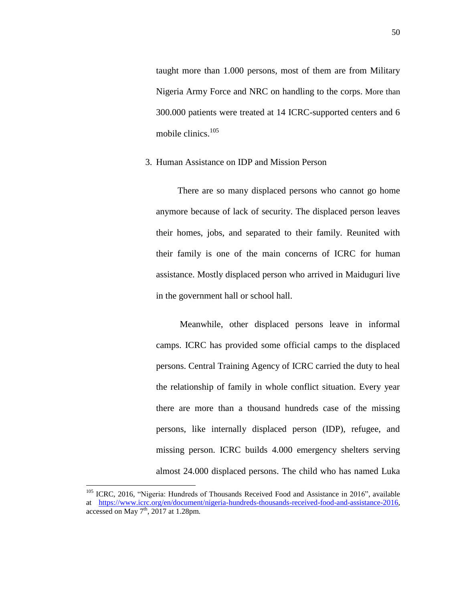taught more than 1.000 persons, most of them are from Military Nigeria Army Force and NRC on handling to the corps. More than 300.000 patients were treated at 14 ICRC-supported centers and 6 mobile clinics.<sup>105</sup>

#### 3. Human Assistance on IDP and Mission Person

There are so many displaced persons who cannot go home anymore because of lack of security. The displaced person leaves their homes, jobs, and separated to their family. Reunited with their family is one of the main concerns of ICRC for human assistance. Mostly displaced person who arrived in Maiduguri live in the government hall or school hall.

Meanwhile, other displaced persons leave in informal camps. ICRC has provided some official camps to the displaced persons. Central Training Agency of ICRC carried the duty to heal the relationship of family in whole conflict situation. Every year there are more than a thousand hundreds case of the missing persons, like internally displaced person (IDP), refugee, and missing person. ICRC builds 4.000 emergency shelters serving almost 24.000 displaced persons. The child who has named Luka

 $\ddot{\phantom{a}}$ 

<sup>105</sup> ICRC, 2016, "Nigeria: Hundreds of Thousands Received Food and Assistance in 2016"*,* available at [https://www.icrc.org/en/document/nigeria-hundreds-thousands-received-food-and-assistance-2016,](https://www.icrc.org/en/document/nigeria-hundreds-thousands-received-food-and-assistance-2016) accessed on May  $7<sup>th</sup>$ , 2017 at 1.28pm.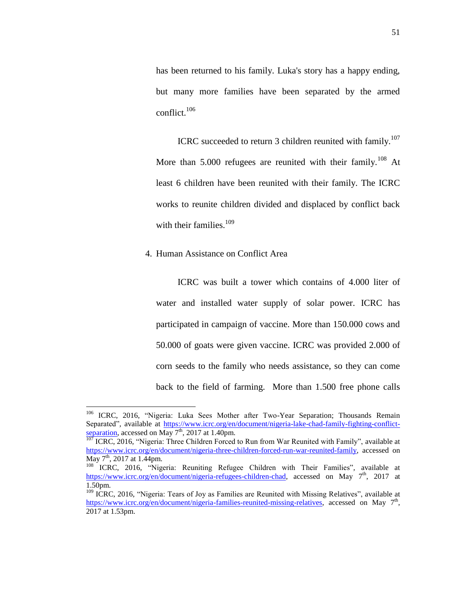has been returned to his family. Luka's story has a happy ending, but many more families have been separated by the armed conflict. $106$ 

ICRC succeeded to return 3 children reunited with family.<sup>107</sup> More than 5.000 refugees are reunited with their family.<sup>108</sup> At least 6 children have been reunited with their family. The ICRC works to reunite children divided and displaced by conflict back with their families.<sup>109</sup>

## 4. Human Assistance on Conflict Area

 $\overline{a}$ 

ICRC was built a tower which contains of 4.000 liter of water and installed water supply of solar power. ICRC has participated in campaign of vaccine. More than 150.000 cows and 50.000 of goats were given vaccine. ICRC was provided 2.000 of corn seeds to the family who needs assistance, so they can come back to the field of farming. More than 1.500 free phone calls

<sup>&</sup>lt;sup>106</sup> ICRC, 2016, "Nigeria: Luka Sees Mother after Two-Year Separation; Thousands Remain Separated"*,* available at [https://www.icrc.org/en/document/nigeria-lake-chad-family-fighting-conflict](https://www.icrc.org/en/document/nigeria-lake-chad-family-fighting-conflict-separation)[separation,](https://www.icrc.org/en/document/nigeria-lake-chad-family-fighting-conflict-separation) accessed on May  $7<sup>th</sup>$ , 2017 at 1.40pm.

 $107$  ICRC, 2016, "Nigeria: Three Children Forced to Run from War Reunited with Family", available at [https://www.icrc.org/en/document/nigeria-three-children-forced-run-war-reunited-family,](https://www.icrc.org/en/document/nigeria-three-children-forced-run-war-reunited-family) accessed on May 7<sup>th</sup>, 2017 at 1.44pm.

<sup>108</sup> ICRC, 2016, "Nigeria: Reuniting Refugee Children with Their Families"*,* available at [https://www.icrc.org/en/document/nigeria-refugees-children-chad,](https://www.icrc.org/en/document/nigeria-refugees-children-chad) accessed on May 7<sup>th</sup>, 2017 at 1.50pm.

<sup>&</sup>lt;sup>109</sup> ICRC, 2016, "Nigeria: Tears of Joy as Families are Reunited with Missing Relatives", available at [https://www.icrc.org/en/document/nigeria-families-reunited-missing-relatives,](https://www.icrc.org/en/document/nigeria-families-reunited-missing-relatives) accessed on May 7<sup>th</sup>, 2017 at 1.53pm.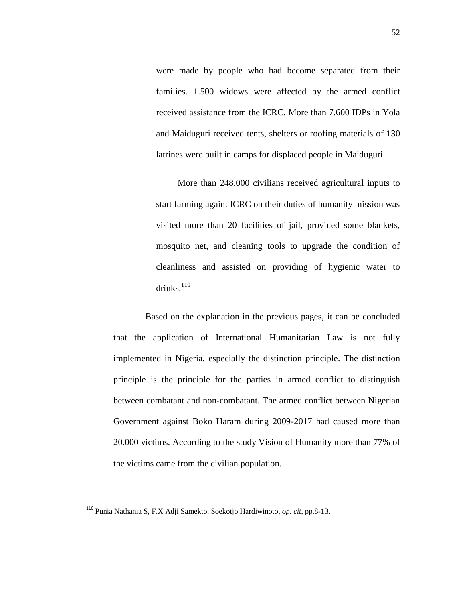were made by people who had become separated from their families. 1.500 widows were affected by the armed conflict received assistance from the ICRC. More than 7.600 IDPs in Yola and Maiduguri received tents, shelters or roofing materials of 130 latrines were built in camps for displaced people in Maiduguri.

More than 248.000 civilians received agricultural inputs to start farming again. ICRC on their duties of humanity mission was visited more than 20 facilities of jail, provided some blankets, mosquito net, and cleaning tools to upgrade the condition of cleanliness and assisted on providing of hygienic water to drinks. 110

Based on the explanation in the previous pages, it can be concluded that the application of International Humanitarian Law is not fully implemented in Nigeria, especially the distinction principle. The distinction principle is the principle for the parties in armed conflict to distinguish between combatant and non-combatant. The armed conflict between Nigerian Government against Boko Haram during 2009-2017 had caused more than 20.000 victims. According to the study Vision of Humanity more than 77% of the victims came from the civilian population.

<sup>110</sup> Punia Nathania S, F.X Adji Samekto, Soekotjo Hardiwinoto*, op. cit*, pp.8-13.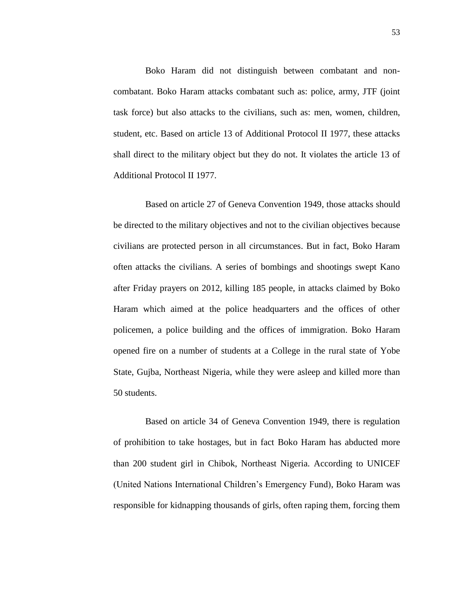Boko Haram did not distinguish between combatant and noncombatant. Boko Haram attacks combatant such as: police, army, JTF (joint task force) but also attacks to the civilians, such as: men, women, children, student, etc. Based on article 13 of Additional Protocol II 1977, these attacks shall direct to the military object but they do not. It violates the article 13 of Additional Protocol II 1977.

Based on article 27 of Geneva Convention 1949, those attacks should be directed to the military objectives and not to the civilian objectives because civilians are protected person in all circumstances. But in fact, Boko Haram often attacks the civilians. A series of bombings and shootings swept Kano after Friday prayers on 2012, killing 185 people, in attacks claimed by Boko Haram which aimed at the police headquarters and the offices of other policemen, a police building and the offices of immigration. Boko Haram opened fire on a number of students at a College in the rural state of Yobe State, Gujba, Northeast Nigeria, while they were asleep and killed more than 50 students.

Based on article 34 of Geneva Convention 1949, there is regulation of prohibition to take hostages, but in fact Boko Haram has abducted more than 200 student girl in Chibok, Northeast Nigeria. According to UNICEF (United Nations International Children"s Emergency Fund), Boko Haram was responsible for kidnapping thousands of girls, often raping them, forcing them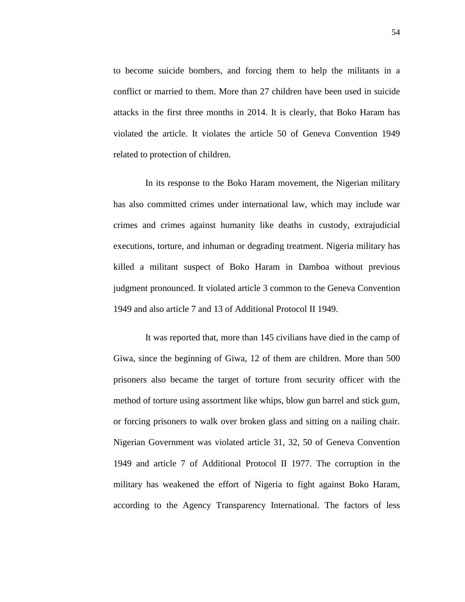to become suicide bombers, and forcing them to help the militants in a conflict or married to them. More than 27 children have been used in suicide attacks in the first three months in 2014. It is clearly, that Boko Haram has violated the article. It violates the article 50 of Geneva Convention 1949 related to protection of children.

In its response to the Boko Haram movement, the Nigerian military has also committed crimes under international law, which may include war crimes and crimes against humanity like deaths in custody, extrajudicial executions, torture, and inhuman or degrading treatment. Nigeria military has killed a militant suspect of Boko Haram in Damboa without previous judgment pronounced. It violated article 3 common to the Geneva Convention 1949 and also article 7 and 13 of Additional Protocol II 1949.

It was reported that, more than 145 civilians have died in the camp of Giwa, since the beginning of Giwa, 12 of them are children. More than 500 prisoners also became the target of torture from security officer with the method of torture using assortment like whips, blow gun barrel and stick gum, or forcing prisoners to walk over broken glass and sitting on a nailing chair. Nigerian Government was violated article 31, 32, 50 of Geneva Convention 1949 and article 7 of Additional Protocol II 1977. The corruption in the military has weakened the effort of Nigeria to fight against Boko Haram, according to the Agency Transparency International. The factors of less